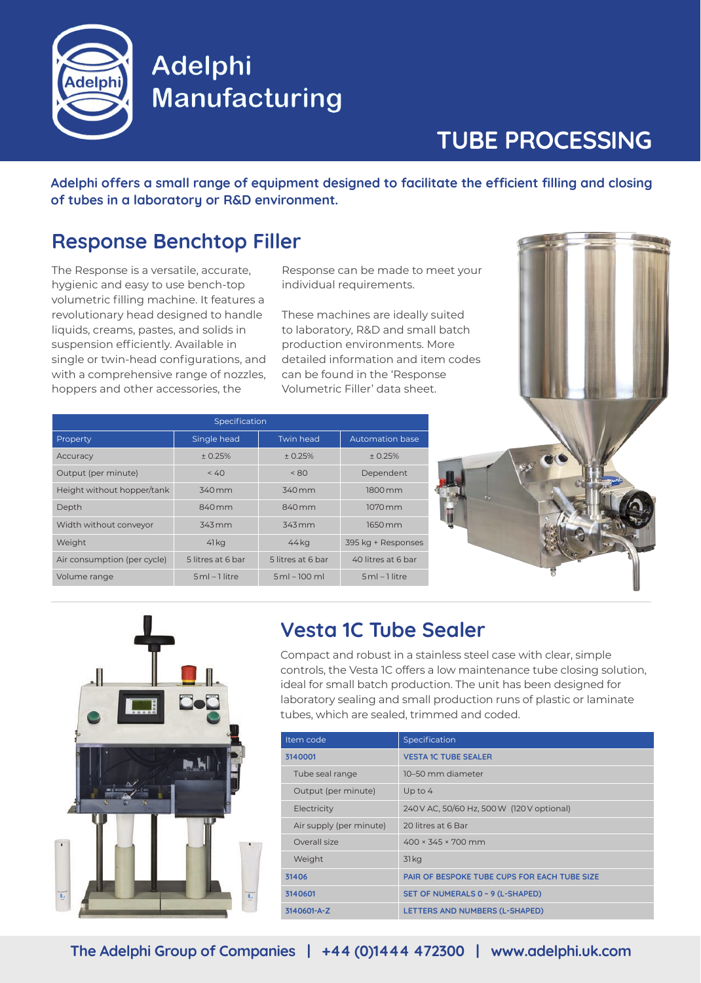

## **Adelphi Manufacturing**

# **TUBE PROCESSING**

**Adelphi offers a small range of equipment designed to facilitate the efficient filling and closing of tubes in a laboratory or R&D environment.**

## **Response Benchtop Filler**

The Response is a versatile, accurate, hygienic and easy to use bench-top volumetric filling machine. It features a revolutionary head designed to handle liquids, creams, pastes, and solids in suspension efficiently. Available in single or twin-head configurations, and with a comprehensive range of nozzles, hoppers and other accessories, the

Response can be made to meet your individual requirements.

These machines are ideally suited to laboratory, R&D and small batch production environments. More detailed information and item codes can be found in the 'Response Volumetric Filler' data sheet.

| Specification               |                   |                   |                    |  |
|-----------------------------|-------------------|-------------------|--------------------|--|
| Property                    | Single head       | <b>Twin head</b>  | Automation base    |  |
| Accuracy                    | ± 0.25%           | ± 0.25%           | ± 0.25%            |  |
| Output (per minute)         | < 40              | < 80              | Dependent          |  |
| Height without hopper/tank  | 340 mm            | 340 mm            | 1800 mm            |  |
| Depth                       | 840 mm            | $840$ mm          | 1070 mm            |  |
| Width without conveyor      | 343 mm            | 343 mm            | 1650 mm            |  |
| Weight                      | 41 kg             | 44 kg             | 395 kg + Responses |  |
| Air consumption (per cycle) | 5 litres at 6 bar | 5 litres at 6 bar | 40 litres at 6 bar |  |
| Volume range                | $5ml-1$ litre     | $5ml - 100 ml$    | $5ml-1$ litre      |  |





## **Vesta 1C Tube Sealer**

Compact and robust in a stainless steel case with clear, simple controls, the Vesta 1C offers a low maintenance tube closing solution, ideal for small batch production. The unit has been designed for laboratory sealing and small production runs of plastic or laminate tubes, which are sealed, trimmed and coded.

| Item code               | Specification                                       |  |
|-------------------------|-----------------------------------------------------|--|
| 3140001                 | <b>VESTA 1C TUBE SEALER</b>                         |  |
| Tube seal range         | 10-50 mm diameter                                   |  |
| Output (per minute)     | Up to $4$                                           |  |
| Electricity             | 240 V AC, 50/60 Hz, 500 W (120 V optional)          |  |
| Air supply (per minute) | 20 litres at 6 Bar                                  |  |
| Overall size            | $400 \times 345 \times 700$ mm                      |  |
| Weight                  | 31 <sub>kg</sub>                                    |  |
| 31406                   | <b>PAIR OF BESPOKE TUBE CUPS FOR EACH TUBE SIZE</b> |  |
| 3140601                 | SET OF NUMERALS 0 - 9 (L-SHAPED)                    |  |
| 3140601-A-Z             | LETTERS AND NUMBERS (L-SHAPED)                      |  |